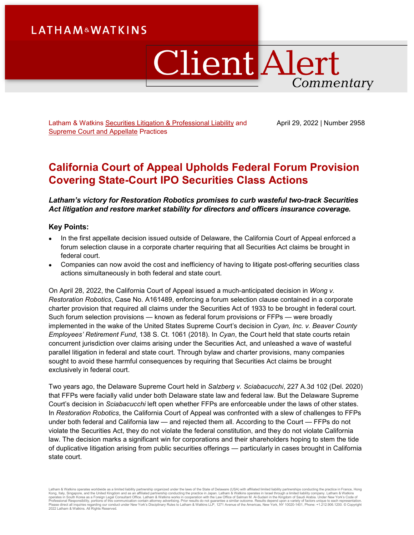# **LATHAM&WATKINS**

# **Client Alert** Commentary

Latham & Watkins [Securities Litigation & Professional Liability](https://www.lw.com/practices/SecuritiesLitigationandProfessionalLiability) and [Supreme Court and Appellate](https://www.lw.com/practices/SupremeCourtandAppellate) Practices

April 29, 2022 | Number 2958

# **California Court of Appeal Upholds Federal Forum Provision Covering State-Court IPO Securities Class Actions**

*Latham's victory for Restoration Robotics promises to curb wasteful two-track Securities Act litigation and restore market stability for directors and officers insurance coverage.*

# **Key Points:**

- In the first appellate decision issued outside of Delaware, the California Court of Appeal enforced a forum selection clause in a corporate charter requiring that all Securities Act claims be brought in federal court.
- Companies can now avoid the cost and inefficiency of having to litigate post-offering securities class actions simultaneously in both federal and state court.

On April 28, 2022, the California Court of Appeal issued a much-anticipated decision in *Wong v. Restoration Robotics*, Case No. A161489, enforcing a forum selection clause contained in a corporate charter provision that required all claims under the Securities Act of 1933 to be brought in federal court. Such forum selection provisions — known as federal forum provisions or FFPs — were broadly implemented in the wake of the United States Supreme Court's decision in *Cyan, Inc. v. Beaver County Employees' Retirement Fund*, 138 S. Ct. 1061 (2018). In *Cyan*, the Court held that state courts retain concurrent jurisdiction over claims arising under the Securities Act, and unleashed a wave of wasteful parallel litigation in federal and state court. Through bylaw and charter provisions, many companies sought to avoid these harmful consequences by requiring that Securities Act claims be brought exclusively in federal court.

Two years ago, the Delaware Supreme Court held in *Salzberg v. Sciabacucchi*, 227 A.3d 102 (Del. 2020) that FFPs were facially valid under both Delaware state law and federal law. But the Delaware Supreme Court's decision in *Sciabacucchi* left open whether FFPs are enforceable under the laws of other states. In *Restoration Robotics*, the California Court of Appeal was confronted with a slew of challenges to FFPs under both federal and California law — and rejected them all. According to the Court — FFPs do not violate the Securities Act, they do not violate the federal constitution, and they do not violate California law. The decision marks a significant win for corporations and their shareholders hoping to stem the tide of duplicative litigation arising from public securities offerings — particularly in cases brought in California state court.

Latham & Watkins operates worldwide as a limited liability partnership organized under the laws of the State of Delaware (USA) with affiliated limited liability partnerships conducting the practice in France, Hong Kong, Italy, Singapore, and the United Kingdom and as an affiliated partnership conducting the practice in Japan. Latham & Watkins operates in Israel through a limited liability company. Latham & Watkins<br>operates in South 2022 Latham & Watkins. All Rights Reserved.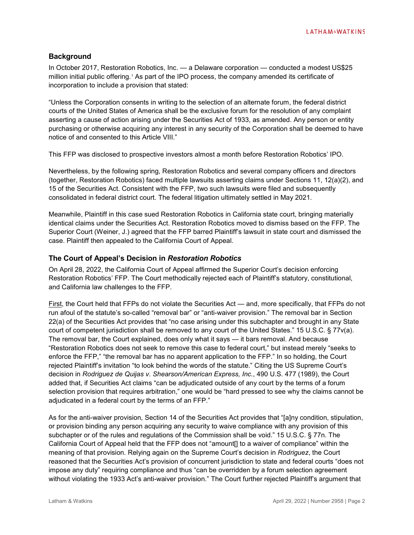## **Background**

In October 2017, Restoration Robotics, Inc. — a Delaware corporation — conducted a modest US\$25 million initial public offering.[1](#page-3-0) As part of the IPO process, the company amended its certificate of incorporation to include a provision that stated:

"Unless the Corporation consents in writing to the selection of an alternate forum, the federal district courts of the United States of America shall be the exclusive forum for the resolution of any complaint asserting a cause of action arising under the Securities Act of 1933, as amended. Any person or entity purchasing or otherwise acquiring any interest in any security of the Corporation shall be deemed to have notice of and consented to this Article VIII."

This FFP was disclosed to prospective investors almost a month before Restoration Robotics' IPO.

Nevertheless, by the following spring, Restoration Robotics and several company officers and directors (together, Restoration Robotics) faced multiple lawsuits asserting claims under Sections 11, 12(a)(2), and 15 of the Securities Act. Consistent with the FFP, two such lawsuits were filed and subsequently consolidated in federal district court. The federal litigation ultimately settled in May 2021.

Meanwhile, Plaintiff in this case sued Restoration Robotics in California state court, bringing materially identical claims under the Securities Act. Restoration Robotics moved to dismiss based on the FFP. The Superior Court (Weiner, J.) agreed that the FFP barred Plaintiff's lawsuit in state court and dismissed the case. Plaintiff then appealed to the California Court of Appeal.

## **The Court of Appeal's Decision in** *Restoration Robotics*

On April 28, 2022, the California Court of Appeal affirmed the Superior Court's decision enforcing Restoration Robotics' FFP. The Court methodically rejected each of Plaintiff's statutory, constitutional, and California law challenges to the FFP.

First, the Court held that FFPs do not violate the Securities Act — and, more specifically, that FFPs do not run afoul of the statute's so-called "removal bar" or "anti-waiver provision." The removal bar in Section 22(a) of the Securities Act provides that "no case arising under this subchapter and brought in any State court of competent jurisdiction shall be removed to any court of the United States." 15 U.S.C. § 77v(a). The removal bar, the Court explained, does only what it says — it bars removal. And because "Restoration Robotics does not seek to remove this case to federal court," but instead merely "seeks to enforce the FFP," "the removal bar has no apparent application to the FFP." In so holding, the Court rejected Plaintiff's invitation "to look behind the words of the statute." Citing the US Supreme Court's decision in *Rodriguez de Quijas v. Shearson/American Express, Inc.*, 490 U.S. 477 (1989), the Court added that, if Securities Act claims "can be adjudicated outside of any court by the terms of a forum selection provision that requires arbitration," one would be "hard pressed to see why the claims cannot be adjudicated in a federal court by the terms of an FFP."

As for the anti-waiver provision, Section 14 of the Securities Act provides that "[a]ny condition, stipulation, or provision binding any person acquiring any security to waive compliance with any provision of this subchapter or of the rules and regulations of the Commission shall be void." 15 U.S.C. § 77n. The California Court of Appeal held that the FFP does not "amount[] to a waiver of compliance" within the meaning of that provision. Relying again on the Supreme Court's decision in *Rodriguez*, the Court reasoned that the Securities Act's provision of concurrent jurisdiction to state and federal courts "does not impose any duty" requiring compliance and thus "can be overridden by a forum selection agreement without violating the 1933 Act's anti-waiver provision." The Court further rejected Plaintiff's argument that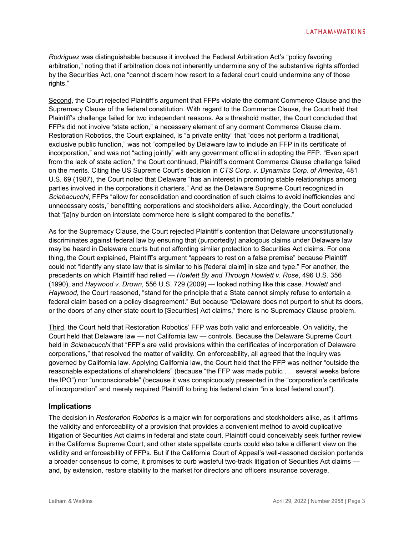*Rodriguez* was distinguishable because it involved the Federal Arbitration Act's "policy favoring arbitration," noting that if arbitration does not inherently undermine any of the substantive rights afforded by the Securities Act, one "cannot discern how resort to a federal court could undermine any of those rights."

Second, the Court rejected Plaintiff's argument that FFPs violate the dormant Commerce Clause and the Supremacy Clause of the federal constitution. With regard to the Commerce Clause, the Court held that Plaintiff's challenge failed for two independent reasons. As a threshold matter, the Court concluded that FFPs did not involve "state action," a necessary element of any dormant Commerce Clause claim. Restoration Robotics, the Court explained, is "a private entity" that "does not perform a traditional, exclusive public function," was not "compelled by Delaware law to include an FFP in its certificate of incorporation," and was not "acting jointly" with any government official in adopting the FFP. "Even apart from the lack of state action," the Court continued, Plaintiff's dormant Commerce Clause challenge failed on the merits. Citing the US Supreme Court's decision in *CTS Corp. v. Dynamics Corp. of America*, 481 U.S. 69 (1987), the Court noted that Delaware "has an interest in promoting stable relationships among parties involved in the corporations it charters." And as the Delaware Supreme Court recognized in *Sciabacucchi*, FFPs "allow for consolidation and coordination of such claims to avoid inefficiencies and unnecessary costs," benefitting corporations and stockholders alike. Accordingly, the Court concluded that "[a]ny burden on interstate commerce here is slight compared to the benefits."

As for the Supremacy Clause, the Court rejected Plaintiff's contention that Delaware unconstitutionally discriminates against federal law by ensuring that (purportedly) analogous claims under Delaware law may be heard in Delaware courts but not affording similar protection to Securities Act claims. For one thing, the Court explained, Plaintiff's argument "appears to rest on a false premise" because Plaintiff could not "identify any state law that is similar to his [federal claim] in size and type." For another, the precedents on which Plaintiff had relied — *Howlett By and Through Howlett v. Rose*, 496 U.S. 356 (1990), and *Haywood v. Drown*, 556 U.S. 729 (2009) — looked nothing like this case. *Howlett* and *Haywood*, the Court reasoned, "stand for the principle that a State cannot simply refuse to entertain a federal claim based on a policy disagreement." But because "Delaware does not purport to shut its doors, or the doors of any other state court to [Securities] Act claims," there is no Supremacy Clause problem.

Third, the Court held that Restoration Robotics' FFP was both valid and enforceable. On validity, the Court held that Delaware law — not California law — controls. Because the Delaware Supreme Court held in *Sciabacucchi* that "FFP's are valid provisions within the certificates of incorporation of Delaware corporations," that resolved the matter of validity. On enforceability, all agreed that the inquiry was governed by California law. Applying California law, the Court held that the FFP was neither "outside the reasonable expectations of shareholders" (because "the FFP was made public . . . several weeks before the IPO") nor "unconscionable" (because it was conspicuously presented in the "corporation's certificate of incorporation" and merely required Plaintiff to bring his federal claim "in a local federal court").

## **Implications**

The decision in *Restoration Robotics* is a major win for corporations and stockholders alike, as it affirms the validity and enforceability of a provision that provides a convenient method to avoid duplicative litigation of Securities Act claims in federal and state court. Plaintiff could conceivably seek further review in the California Supreme Court, and other state appellate courts could also take a different view on the validity and enforceability of FFPs. But if the California Court of Appeal's well-reasoned decision portends a broader consensus to come, it promises to curb wasteful two-track litigation of Securities Act claims and, by extension, restore stability to the market for directors and officers insurance coverage.